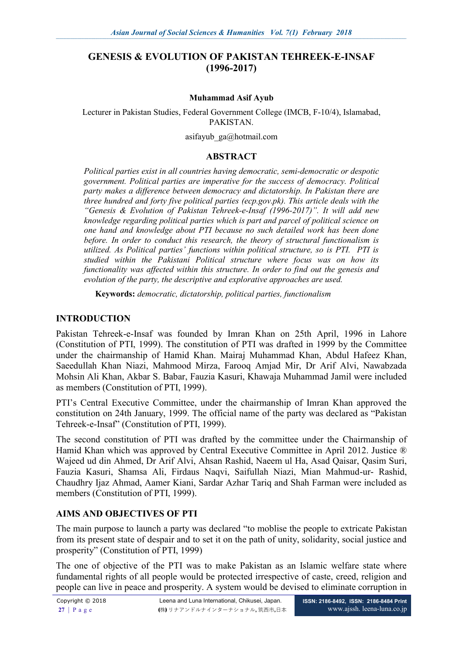### **GENESIS & EVOLUTION OF PAKISTAN TEHREEK-E-INSAF (1996-2017)**

#### **Muhammad Asif Ayub**

Lecturer in Pakistan Studies, Federal Government College (IMCB, F-10/4), Islamabad, PAKISTAN.

[asifayub\\_ga@hotmail.com](mailto:asifayub_ga@hotmail.com)

#### **ABSTRACT**

*Political parties exist in all countries having democratic, semi-democratic or despotic government. Political parties are imperative for the success of democracy. Political party makes a difference between democracy and dictatorship. In Pakistan there are three hundred and forty five political parties (ecp.gov.pk). This article deals with the "Genesis & Evolution of Pakistan Tehreek-e-Insaf (1996-2017)". It will add new knowledge regarding political parties which is part and parcel of political science on one hand and knowledge about PTI because no such detailed work has been done before. In order to conduct this research, the theory of structural functionalism is utilized. As Political parties' functions within political structure, so is PTI. PTI is studied within the Pakistani Political structure where focus was on how its functionality was affected within this structure. In order to find out the genesis and evolution of the party, the descriptive and explorative approaches are used.* 

**Keywords:** *democratic, dictatorship, political parties, functionalism*

#### **INTRODUCTION**

Pakistan Tehreek-e-Insaf was founded by Imran Khan on 25th April, 1996 in Lahore (Constitution of PTI, 1999). The constitution of PTI was drafted in 1999 by the Committee under the chairmanship of Hamid Khan. Mairaj Muhammad Khan, Abdul Hafeez Khan, Saeedullah Khan Niazi, Mahmood Mirza, Farooq Amjad Mir, Dr Arif Alvi, Nawabzada Mohsin Ali Khan, Akbar S. Babar, Fauzia Kasuri, Khawaja Muhammad Jamil were included as members (Constitution of PTI, 1999).

PTI's Central Executive Committee, under the chairmanship of Imran Khan approved the constitution on 24th January, 1999. The official name of the party was declared as "Pakistan Tehreek-e-Insaf" (Constitution of PTI, 1999).

The second constitution of PTI was drafted by the committee under the Chairmanship of Hamid Khan which was approved by Central Executive Committee in April 2012. Justice ® Wajeed ud din Ahmed, Dr Arif Alvi, Ahsan Rashid, Naeem ul Ha, Asad Qaisar, Qasim Suri, Fauzia Kasuri, Shamsa Ali, Firdaus Naqvi, Saifullah Niazi, Mian Mahmud-ur- Rashid, Chaudhry Ijaz Ahmad, Aamer Kiani, Sardar Azhar Tariq and Shah Farman were included as members (Constitution of PTI, 1999).

#### **AIMS AND OBJECTIVES OF PTI**

The main purpose to launch a party was declared "to moblise the people to extricate Pakistan from its present state of despair and to set it on the path of unity, solidarity, social justice and prosperity" (Constitution of PTI, 1999)

The one of objective of the PTI was to make Pakistan as an Islamic welfare state where fundamental rights of all people would be protected irrespective of caste, creed, religion and people can live in peace and prosperity. A system would be devised to eliminate corruption in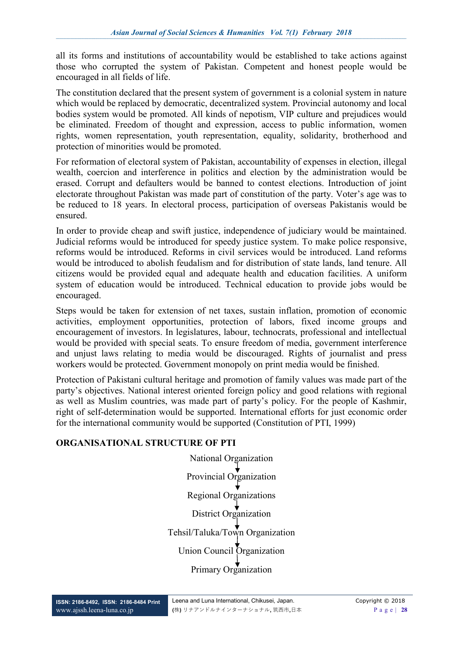all its forms and institutions of accountability would be established to take actions against those who corrupted the system of Pakistan. Competent and honest people would be encouraged in all fields of life.

The constitution declared that the present system of government is a colonial system in nature which would be replaced by democratic, decentralized system. Provincial autonomy and local bodies system would be promoted. All kinds of nepotism, VIP culture and prejudices would be eliminated. Freedom of thought and expression, access to public information, women rights, women representation, youth representation, equality, solidarity, brotherhood and protection of minorities would be promoted.

For reformation of electoral system of Pakistan, accountability of expenses in election, illegal wealth, coercion and interference in politics and election by the administration would be erased. Corrupt and defaulters would be banned to contest elections. Introduction of joint electorate throughout Pakistan was made part of constitution of the party. Voter's age was to be reduced to 18 years. In electoral process, participation of overseas Pakistanis would be ensured.

In order to provide cheap and swift justice, independence of judiciary would be maintained. Judicial reforms would be introduced for speedy justice system. To make police responsive, reforms would be introduced. Reforms in civil services would be introduced. Land reforms would be introduced to abolish feudalism and for distribution of state lands, land tenure. All citizens would be provided equal and adequate health and education facilities. A uniform system of education would be introduced. Technical education to provide jobs would be encouraged.

Steps would be taken for extension of net taxes, sustain inflation, promotion of economic activities, employment opportunities, protection of labors, fixed income groups and encouragement of investors. In legislatures, labour, technocrats, professional and intellectual would be provided with special seats. To ensure freedom of media, government interference and unjust laws relating to media would be discouraged. Rights of journalist and press workers would be protected. Government monopoly on print media would be finished.

Protection of Pakistani cultural heritage and promotion of family values was made part of the party's objectives. National interest oriented foreign policy and good relations with regional as well as Muslim countries, was made part of party's policy. For the people of Kashmir, right of self-determination would be supported. International efforts for just economic order for the international community would be supported (Constitution of PTI, 1999)

#### **ORGANISATIONAL STRUCTURE OF PTI**

National Organization Provincial Organization Regional Organizations District Organization Tehsil/Taluka/Town Organization Union Council Organization Primary Organization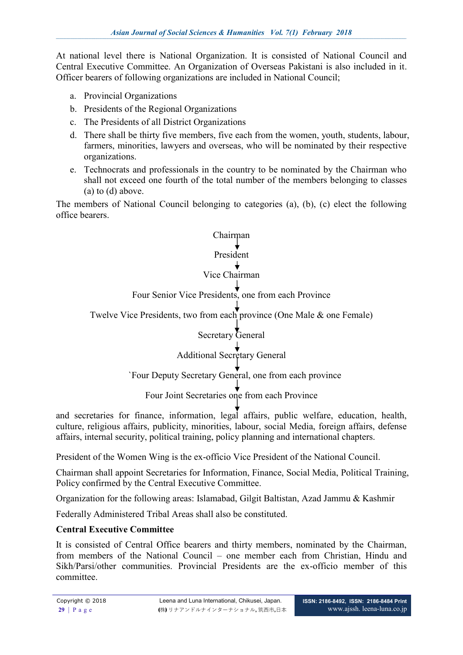At national level there is National Organization. It is consisted of National Council and Central Executive Committee. An Organization of Overseas Pakistani is also included in it. Officer bearers of following organizations are included in National Council;

- a. Provincial Organizations
- b. Presidents of the Regional Organizations
- c. The Presidents of all District Organizations
- d. There shall be thirty five members, five each from the women, youth, students, labour, farmers, minorities, lawyers and overseas, who will be nominated by their respective organizations.
- e. Technocrats and professionals in the country to be nominated by the Chairman who shall not exceed one fourth of the total number of the members belonging to classes (a) to (d) above.

The members of National Council belonging to categories (a), (b), (c) elect the following office bearers.

# Chairman President

# Vice Chairman

# Four Senior Vice Presidents, one from each Province

Twelve Vice Presidents, two from each province (One Male & one Female)

# Secretary General

# Additional Secretary General

# `Four Deputy Secretary General, one from each province

Four Joint Secretaries one from each Province

and secretaries for finance, information, legal affairs, public welfare, education, health, culture, religious affairs, publicity, minorities, labour, social Media, foreign affairs, defense affairs, internal security, political training, policy planning and international chapters.

President of the Women Wing is the ex-officio Vice President of the National Council.

Chairman shall appoint Secretaries for Information, Finance, Social Media, Political Training, Policy confirmed by the Central Executive Committee.

Organization for the following areas: Islamabad, Gilgit Baltistan, Azad Jammu & Kashmir

Federally Administered Tribal Areas shall also be constituted.

#### **Central Executive Committee**

It is consisted of Central Office bearers and thirty members, nominated by the Chairman, from members of the National Council – one member each from Christian, Hindu and Sikh/Parsi/other communities. Provincial Presidents are the ex-officio member of this committee.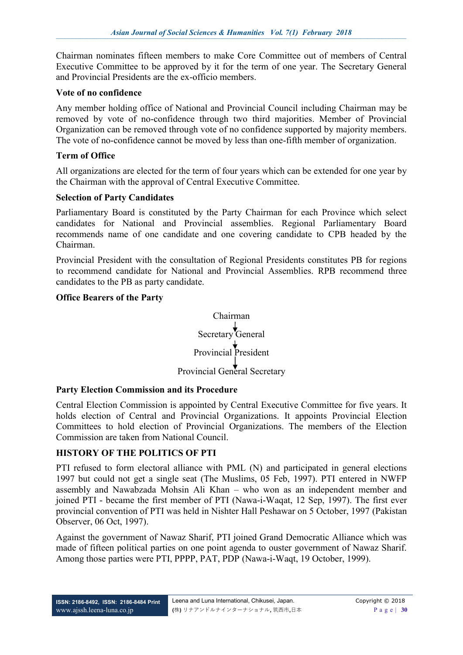Chairman nominates fifteen members to make Core Committee out of members of Central Executive Committee to be approved by it for the term of one year. The Secretary General and Provincial Presidents are the ex-officio members.

#### **Vote of no confidence**

Any member holding office of National and Provincial Council including Chairman may be removed by vote of no-confidence through two third majorities. Member of Provincial Organization can be removed through vote of no confidence supported by majority members. The vote of no-confidence cannot be moved by less than one-fifth member of organization.

#### **Term of Office**

All organizations are elected for the term of four years which can be extended for one year by the Chairman with the approval of Central Executive Committee.

#### **Selection of Party Candidates**

Parliamentary Board is constituted by the Party Chairman for each Province which select candidates for National and Provincial assemblies. Regional Parliamentary Board recommends name of one candidate and one covering candidate to CPB headed by the Chairman.

Provincial President with the consultation of Regional Presidents constitutes PB for regions to recommend candidate for National and Provincial Assemblies. RPB recommend three candidates to the PB as party candidate.

#### **Office Bearers of the Party**



#### **Party Election Commission and its Procedure**

Central Election Commission is appointed by Central Executive Committee for five years. It holds election of Central and Provincial Organizations. It appoints Provincial Election Committees to hold election of Provincial Organizations. The members of the Election Commission are taken from National Council.

#### **HISTORY OF THE POLITICS OF PTI**

PTI refused to form electoral alliance with PML (N) and participated in general elections 1997 but could not get a single seat (The Muslims, 05 Feb, 1997). PTI entered in NWFP assembly and Nawabzada Mohsin Ali Khan – who won as an independent member and joined PTI - became the first member of PTI (Nawa-i-Waqat, 12 Sep, 1997). The first ever provincial convention of PTI was held in Nishter Hall Peshawar on 5 October, 1997 (Pakistan Observer, 06 Oct, 1997).

Against the government of Nawaz Sharif, PTI joined Grand Democratic Alliance which was made of fifteen political parties on one point agenda to ouster government of Nawaz Sharif. Among those parties were PTI, PPPP, PAT, PDP (Nawa-i-Waqt, 19 October, 1999).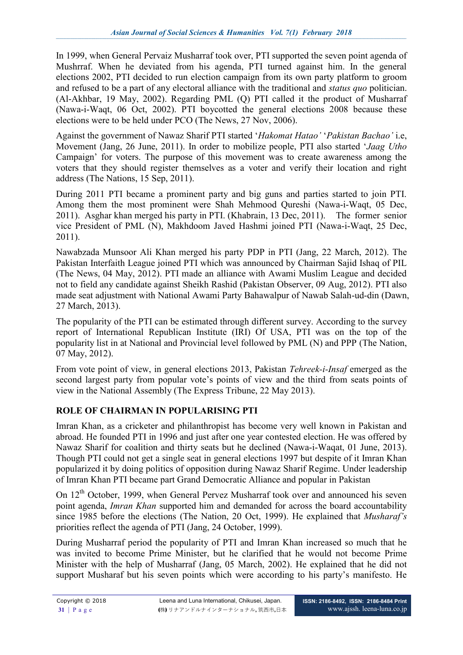In 1999, when General Pervaiz Musharraf took over, PTI supported the seven point agenda of Mushrraf. When he deviated from his agenda, PTI turned against him. In the general elections 2002, PTI decided to run election campaign from its own party platform to groom and refused to be a part of any electoral alliance with the traditional and *status quo* politician. (Al-Akhbar, 19 May, 2002). Regarding PML (Q) PTI called it the product of Musharraf (Nawa-i-Waqt, 06 Oct, 2002). PTI boycotted the general elections 2008 because these elections were to be held under PCO (The News, 27 Nov, 2006).

Against the government of Nawaz Sharif PTI started '*Hakomat Hatao'* '*Pakistan Bachao'* i.e, Movement (Jang, 26 June, 2011). In order to mobilize people, PTI also started '*Jaag Utho* Campaign' for voters. The purpose of this movement was to create awareness among the voters that they should register themselves as a voter and verify their location and right address (The Nations, 15 Sep, 2011).

During 2011 PTI became a prominent party and big guns and parties started to join PTI. Among them the most prominent were Shah Mehmood Qureshi (Nawa-i-Waqt, 05 Dec, 2011). Asghar khan merged his party in PTI. (Khabrain, 13 Dec, 2011). The former senior vice President of PML (N), Makhdoom Javed Hashmi joined PTI (Nawa-i-Waqt, 25 Dec, 2011).

Nawabzada Munsoor Ali Khan merged his party PDP in PTI (Jang, 22 March, 2012). The Pakistan Interfaith League joined PTI which was announced by Chairman Sajid Ishaq of PIL (The News, 04 May, 2012). PTI made an alliance with Awami Muslim League and decided not to field any candidate against Sheikh Rashid (Pakistan Observer, 09 Aug, 2012). PTI also made seat adjustment with National Awami Party Bahawalpur of Nawab Salah-ud-din (Dawn, 27 March, 2013).

The popularity of the PTI can be estimated through different survey. According to the survey report of International Republican Institute (IRI) Of USA, PTI was on the top of the popularity list in at National and Provincial level followed by PML (N) and PPP (The Nation, 07 May, 2012).

From vote point of view, in general elections 2013, Pakistan *Tehreek-i-Insaf* emerged as the second largest party from popular vote's points of view and the third from seats points of view in the National Assembly (The Express Tribune, 22 May 2013).

# **ROLE OF CHAIRMAN IN POPULARISING PTI**

Imran Khan, as a cricketer and philanthropist has become very well known in Pakistan and abroad. He founded PTI in 1996 and just after one year contested election. He was offered by Nawaz Sharif for coalition and thirty seats but he declined (Nawa-i-Waqat, 01 June, 2013). Though PTI could not get a single seat in general elections 1997 but despite of it Imran Khan popularized it by doing politics of opposition during Nawaz Sharif Regime. Under leadership of Imran Khan PTI became part Grand Democratic Alliance and popular in Pakistan

On 12<sup>th</sup> October, 1999, when General Pervez Musharraf took over and announced his seven point agenda, *Imran Khan* supported him and demanded for across the board accountability since 1985 before the elections (The Nation, 20 Oct, 1999). He explained that *Musharaf's*  priorities reflect the agenda of PTI (Jang, 24 October, 1999).

During Musharraf period the popularity of PTI and Imran Khan increased so much that he was invited to become Prime Minister, but he clarified that he would not become Prime Minister with the help of Musharraf (Jang, 05 March, 2002). He explained that he did not support Musharaf but his seven points which were according to his party's manifesto. He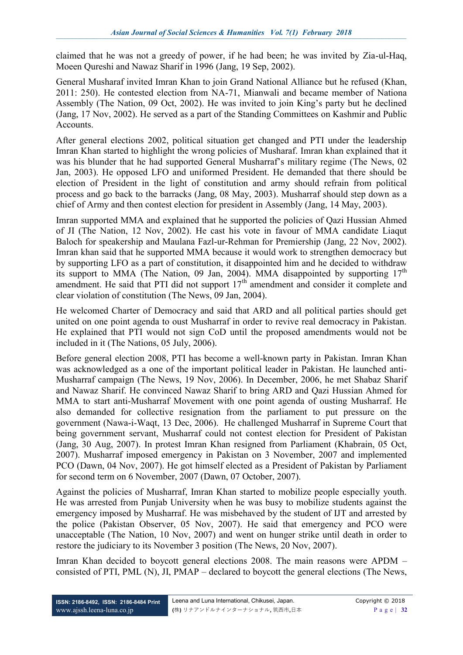claimed that he was not a greedy of power, if he had been; he was invited by Zia-ul-Haq, Moeen Qureshi and Nawaz Sharif in 1996 (Jang, 19 Sep, 2002).

General Musharaf invited Imran Khan to join Grand National Alliance but he refused (Khan, 2011: 250). He contested election from NA-71, Mianwali and became member of Nationa Assembly (The Nation, 09 Oct, 2002). He was invited to join King's party but he declined (Jang, 17 Nov, 2002). He served as a part of the Standing Committees on [Kashmir](https://en.wikipedia.org/wiki/Kashmir) and Public **Accounts** 

After general elections 2002, political situation get changed and PTI under the leadership Imran Khan started to highlight the wrong policies of Musharaf. Imran khan explained that it was his blunder that he had supported General Musharraf's military regime (The News, 02 Jan, 2003). He opposed LFO and uniformed President. He demanded that there should be election of President in the light of constitution and army should refrain from political process and go back to the barracks (Jang, 08 May, 2003). Musharraf should step down as a chief of Army and then contest election for president in Assembly (Jang, 14 May, 2003).

Imran supported MMA and explained that he supported the policies of Qazi Hussian Ahmed of JI (The Nation, 12 Nov, 2002). He cast his vote in favour of MMA candidate Liaqut Baloch for speakership and Maulana Fazl-ur-Rehman for Premiership (Jang, 22 Nov, 2002). Imran khan said that he supported MMA because it would work to strengthen democracy but by supporting LFO as a part of constitution, it disappointed him and he decided to withdraw its support to MMA (The Nation, 09 Jan, 2004). MMA disappointed by supporting  $17<sup>th</sup>$ amendment. He said that PTI did not support  $17<sup>th</sup>$  amendment and consider it complete and clear violation of constitution (The News, 09 Jan, 2004).

He welcomed Charter of Democracy and said that ARD and all political parties should get united on one point agenda to oust Musharraf in order to revive real democracy in Pakistan. He explained that PTI would not sign CoD until the proposed amendments would not be included in it (The Nations, 05 July, 2006).

Before general election 2008, PTI has become a well-known party in Pakistan. Imran Khan was acknowledged as a one of the important political leader in Pakistan. He launched anti-Musharraf campaign (The News, 19 Nov, 2006). In December, 2006, he met Shabaz Sharif and Nawaz Sharif. He convinced Nawaz Sharif to bring ARD and Qazi Hussian Ahmed for MMA to start anti-Musharraf Movement with one point agenda of ousting Musharraf. He also demanded for collective resignation from the parliament to put pressure on the government (Nawa-i-Waqt, 13 Dec, 2006). He challenged Musharraf in Supreme Court that being government servant, Musharraf could not contest election for President of Pakistan (Jang, 30 Aug, 2007). In protest Imran Khan resigned from Parliament (Khabrain, 05 Oct, 2007). Musharraf imposed emergency in Pakistan on 3 November, 2007 and implemented PCO (Dawn, 04 Nov, 2007). He got himself elected as a President of Pakistan by Parliament for second term on 6 November, 2007 (Dawn, 07 October, 2007).

Against the policies of Musharraf, Imran Khan started to mobilize people especially youth. He was arrested from Punjab University when he was busy to mobilize students against the emergency imposed by Musharraf. He was misbehaved by the student of IJT and arrested by the police (Pakistan Observer, 05 Nov, 2007). He said that emergency and PCO were unacceptable (The Nation, 10 Nov, 2007) and went on hunger strike until death in order to restore the judiciary to its November 3 position (The News, 20 Nov, 2007).

Imran Khan decided to boycott general elections 2008. The main reasons were APDM – consisted of PTI, PML (N), JI, PMAP – declared to boycott the general elections (The News,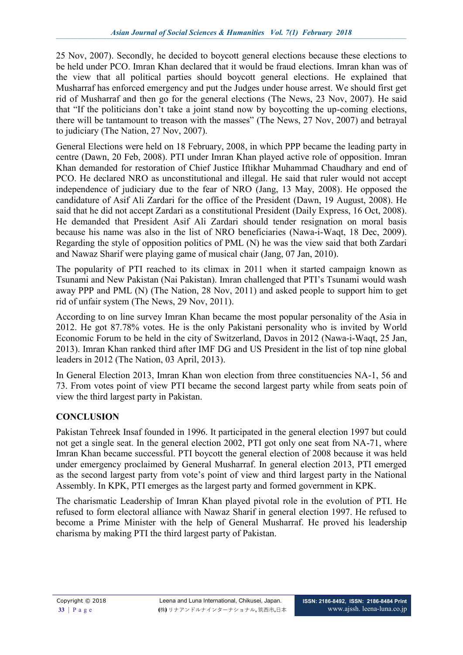25 Nov, 2007). Secondly, he decided to boycott general elections because these elections to be held under PCO. Imran Khan declared that it would be fraud elections. Imran khan was of the view that all political parties should boycott general elections. He explained that Musharraf has enforced emergency and put the Judges under house arrest. We should first get rid of Musharraf and then go for the general elections (The News, 23 Nov, 2007). He said that "If the politicians don't take a joint stand now by boycotting the up-coming elections, there will be tantamount to treason with the masses" (The News, 27 Nov, 2007) and betrayal to judiciary (The Nation, 27 Nov, 2007).

General Elections were held on 18 February, 2008, in which PPP became the leading party in centre (Dawn, 20 Feb, 2008). PTI under Imran Khan played active role of opposition. Imran Khan demanded for restoration of Chief Justice Iftikhar Muhammad Chaudhary and end of PCO. He declared NRO as unconstitutional and illegal. He said that ruler would not accept independence of judiciary due to the fear of NRO (Jang, 13 May, 2008). He opposed the candidature of Asif Ali Zardari for the office of the President (Dawn, 19 August, 2008). He said that he did not accept Zardari as a constitutional President (Daily Express, 16 Oct, 2008). He demanded that President Asif Ali Zardari should tender resignation on moral basis because his name was also in the list of NRO beneficiaries (Nawa-i-Waqt, 18 Dec, 2009). Regarding the style of opposition politics of PML (N) he was the view said that both Zardari and Nawaz Sharif were playing game of musical chair (Jang, 07 Jan, 2010).

The popularity of PTI reached to its climax in 2011 when it started campaign known as Tsunami and New Pakistan (Nai Pakistan). Imran challenged that PTI's Tsunami would wash away PPP and PML (N) (The Nation, 28 Nov, 2011) and asked people to support him to get rid of unfair system (The News, 29 Nov, 2011).

According to on line survey Imran Khan became the most popular personality of the Asia in 2012. He got 87.78% votes. He is the only Pakistani personality who is invited by World Economic Forum to be held in the city of Switzerland, Davos in 2012 (Nawa-i-Waqt, 25 Jan, 2013). Imran Khan ranked third after IMF DG and US President in the list of top nine global leaders in 2012 (The Nation, 03 April, 2013).

In General Election 2013, Imran Khan won election from three constituencies NA-1, 56 and 73. From votes point of view PTI became the second largest party while from seats poin of view the third largest party in Pakistan.

# **CONCLUSION**

Pakistan Tehreek Insaf founded in 1996. It participated in the general election 1997 but could not get a single seat. In the general election 2002, PTI got only one seat from NA-71, where Imran Khan became successful. PTI boycott the general election of 2008 because it was held under emergency proclaimed by General Musharraf. In general election 2013, PTI emerged as the second largest party from vote's point of view and third largest party in the National Assembly. In KPK, PTI emerges as the largest party and formed government in KPK.

The charismatic Leadership of Imran Khan played pivotal role in the evolution of PTI. He refused to form electoral alliance with Nawaz Sharif in general election 1997. He refused to become a Prime Minister with the help of General Musharraf. He proved his leadership charisma by making PTI the third largest party of Pakistan.